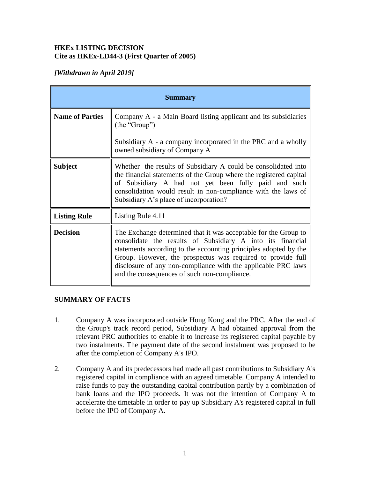#### **HKEx LISTING DECISION Cite as HKEx-LD44-3 (First Quarter of 2005)**

# *[Withdrawn in April 2019]*

| <b>Summary</b>         |                                                                                                                                                                                                                                                                                                                                                                                   |
|------------------------|-----------------------------------------------------------------------------------------------------------------------------------------------------------------------------------------------------------------------------------------------------------------------------------------------------------------------------------------------------------------------------------|
| <b>Name of Parties</b> | Company A - a Main Board listing applicant and its subsidiaries<br>(the "Group")                                                                                                                                                                                                                                                                                                  |
|                        | Subsidiary A - a company incorporated in the PRC and a wholly<br>owned subsidiary of Company A                                                                                                                                                                                                                                                                                    |
| <b>Subject</b>         | Whether the results of Subsidiary A could be consolidated into<br>the financial statements of the Group where the registered capital<br>of Subsidiary A had not yet been fully paid and such<br>consolidation would result in non-compliance with the laws of<br>Subsidiary A's place of incorporation?                                                                           |
| <b>Listing Rule</b>    | Listing Rule 4.11                                                                                                                                                                                                                                                                                                                                                                 |
| <b>Decision</b>        | The Exchange determined that it was acceptable for the Group to<br>consolidate the results of Subsidiary A into its financial<br>statements according to the accounting principles adopted by the<br>Group. However, the prospectus was required to provide full<br>disclosure of any non-compliance with the applicable PRC laws<br>and the consequences of such non-compliance. |

## **SUMMARY OF FACTS**

- 1. Company A was incorporated outside Hong Kong and the PRC. After the end of the Group's track record period, Subsidiary A had obtained approval from the relevant PRC authorities to enable it to increase its registered capital payable by two instalments. The payment date of the second instalment was proposed to be after the completion of Company A's IPO.
- 2. Company A and its predecessors had made all past contributions to Subsidiary A's registered capital in compliance with an agreed timetable. Company A intended to raise funds to pay the outstanding capital contribution partly by a combination of bank loans and the IPO proceeds. It was not the intention of Company A to accelerate the timetable in order to pay up Subsidiary A's registered capital in full before the IPO of Company A.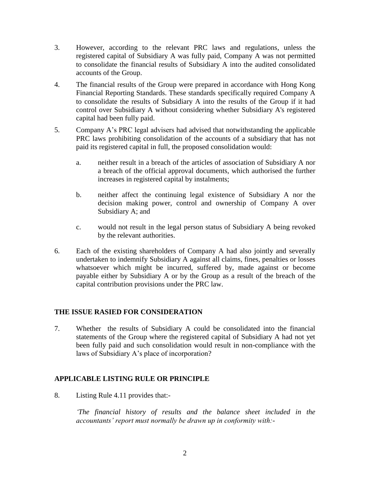- 3. However, according to the relevant PRC laws and regulations, unless the registered capital of Subsidiary A was fully paid, Company A was not permitted to consolidate the financial results of Subsidiary A into the audited consolidated accounts of the Group.
- 4. The financial results of the Group were prepared in accordance with Hong Kong Financial Reporting Standards. These standards specifically required Company A to consolidate the results of Subsidiary A into the results of the Group if it had control over Subsidiary A without considering whether Subsidiary A's registered capital had been fully paid.
- 5. Company A's PRC legal advisers had advised that notwithstanding the applicable PRC laws prohibiting consolidation of the accounts of a subsidiary that has not paid its registered capital in full, the proposed consolidation would:
	- a. neither result in a breach of the articles of association of Subsidiary A nor a breach of the official approval documents, which authorised the further increases in registered capital by instalments;
	- b. neither affect the continuing legal existence of Subsidiary A nor the decision making power, control and ownership of Company A over Subsidiary A; and
	- c. would not result in the legal person status of Subsidiary A being revoked by the relevant authorities.
- 6. Each of the existing shareholders of Company A had also jointly and severally undertaken to indemnify Subsidiary A against all claims, fines, penalties or losses whatsoever which might be incurred, suffered by, made against or become payable either by Subsidiary A or by the Group as a result of the breach of the capital contribution provisions under the PRC law.

## **THE ISSUE RASIED FOR CONSIDERATION**

7. Whether the results of Subsidiary A could be consolidated into the financial statements of the Group where the registered capital of Subsidiary A had not yet been fully paid and such consolidation would result in non-compliance with the laws of Subsidiary A's place of incorporation?

## **APPLICABLE LISTING RULE OR PRINCIPLE**

8. Listing Rule 4.11 provides that:-

*'The financial history of results and the balance sheet included in the accountants' report must normally be drawn up in conformity with:-*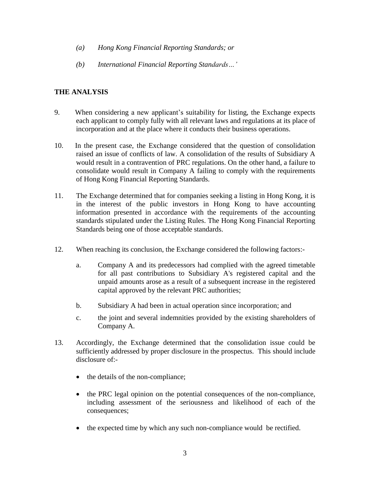- *(a) Hong Kong Financial Reporting Standards; or*
- *(b) International Financial Reporting Standards…'*

# **THE ANALYSIS**

- 9. When considering a new applicant's suitability for listing, the Exchange expects each applicant to comply fully with all relevant laws and regulations at its place of incorporation and at the place where it conducts their business operations.
- 10. In the present case, the Exchange considered that the question of consolidation raised an issue of conflicts of law. A consolidation of the results of Subsidiary A would result in a contravention of PRC regulations. On the other hand, a failure to consolidate would result in Company A failing to comply with the requirements of Hong Kong Financial Reporting Standards.
- 11. The Exchange determined that for companies seeking a listing in Hong Kong, it is in the interest of the public investors in Hong Kong to have accounting information presented in accordance with the requirements of the accounting standards stipulated under the Listing Rules. The Hong Kong Financial Reporting Standards being one of those acceptable standards.
- 12. When reaching its conclusion, the Exchange considered the following factors:
	- a. Company A and its predecessors had complied with the agreed timetable for all past contributions to Subsidiary A's registered capital and the unpaid amounts arose as a result of a subsequent increase in the registered capital approved by the relevant PRC authorities;
	- b. Subsidiary A had been in actual operation since incorporation; and
	- c. the joint and several indemnities provided by the existing shareholders of Company A.
- 13. Accordingly, the Exchange determined that the consolidation issue could be sufficiently addressed by proper disclosure in the prospectus. This should include disclosure of:-
	- the details of the non-compliance;
	- the PRC legal opinion on the potential consequences of the non-compliance, including assessment of the seriousness and likelihood of each of the consequences;
	- the expected time by which any such non-compliance would be rectified.